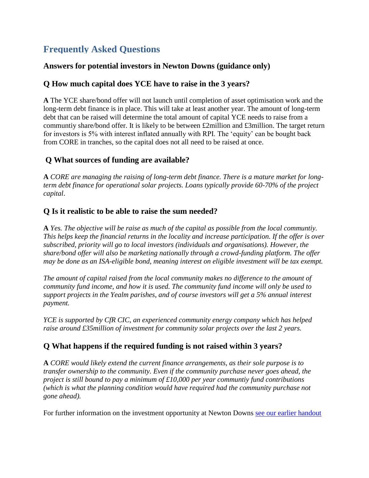## **Frequently Asked Questions**

#### **Answers for potential investors in Newton Downs (guidance only)**

#### **Q How much capital does YCE have to raise in the 3 years?**

**A** The YCE share/bond offer will not launch until completion of asset optimisation work and the long-term debt finance is in place. This will take at least another year. The amount of long-term debt that can be raised will determine the total amount of capital YCE needs to raise from a communtiy share/bond offer. It is likely to be between £2million and £3million. The target return for investors is 5% with interest inflated annually with RPI. The 'equity' can be bought back from CORE in tranches, so the capital does not all need to be raised at once.

#### **Q What sources of funding are available?**

**A** *CORE are managing the raising of long-term debt finance. There is a mature market for longterm debt finance for operational solar projects. Loans typically provide 60-70% of the project capital*.

#### **Q Is it realistic to be able to raise the sum needed?**

**A** *Yes. The objective will be raise as much of the capital as possible from the local communtiy. This helps keep the financial returns in the locality and increase participation. If the offer is over subscribed, priority will go to local investors (individuals and organisations). However, the share/bond offer will also be marketing nationally through a crowd-funding platform. The offer may be done as an ISA-eligible bond, meaning interest on eligible investment will be tax exempt.*

*The amount of capital raised from the local community makes no difference to the amount of community fund income, and how it is used. The community fund income will only be used to support projects in the Yealm parishes, and of course investors will get a 5% annual interest payment.*

*YCE is supported by CfR CIC, an experienced community energy company which has helped raise around £35million of investment for community solar projects over the last 2 years.*

### **Q What happens if the required funding is not raised within 3 years?**

**A** *CORE would likely extend the current finance arrangements, as their sole purpose is to transfer ownership to the community. Even if the community purchase never goes ahead, the project is still bound to pay a minimum of £10,000 per year communtiy fund contributions (which is what the planning condition would have required had the community purchase not gone ahead).*

For further information on the investment opportunity at Newton Downs [see our earlier handout](https://yealmcommunityenergy.files.wordpress.com/2018/02/handout-newton-downs-final.pdf)